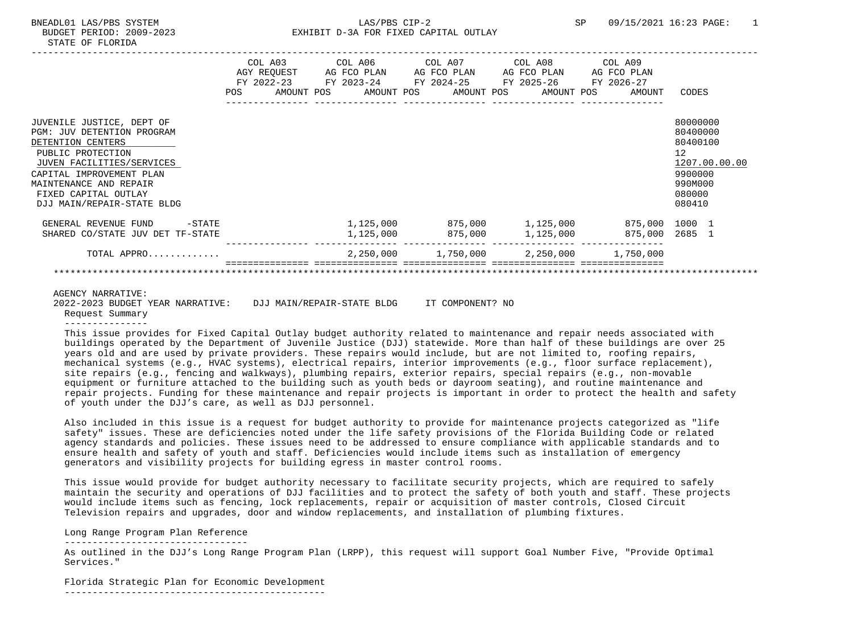|                                                                                                                                                                                                                                                   |  | COL A03 COL A06 COL A07 COL A08 COL A09<br>AGY REQUEST AG FCO PLAN AG FCO PLAN AG FCO PLAN AG FCO PLAN<br>FY 2022-23 FY 2023-24 FY 2024-25 FY 2025-26 FY 2026-27<br>POS AMOUNT POS AMOUNT POS AMOUNT POS AMOUNT POS |  |  | AMOUNT                                                                   | CODES                                                                                         |               |
|---------------------------------------------------------------------------------------------------------------------------------------------------------------------------------------------------------------------------------------------------|--|---------------------------------------------------------------------------------------------------------------------------------------------------------------------------------------------------------------------|--|--|--------------------------------------------------------------------------|-----------------------------------------------------------------------------------------------|---------------|
| JUVENILE JUSTICE, DEPT OF<br><b>PGM: JUV DETENTION PROGRAM</b><br>DETENTION CENTERS<br>PUBLIC PROTECTION<br>JUVEN FACILITIES/SERVICES<br>CAPITAL IMPROVEMENT PLAN<br>MAINTENANCE AND REPAIR<br>FIXED CAPITAL OUTLAY<br>DJJ MAIN/REPAIR-STATE BLDG |  |                                                                                                                                                                                                                     |  |  |                                                                          | 80000000<br>80400000<br>80400100<br>12 <sup>°</sup><br>9900000<br>990M000<br>080000<br>080410 | 1207.00.00.00 |
| GENERAL REVENUE FUND<br>$-\mathtt{STATE}$<br>SHARED CO/STATE JUV DET TF-STATE                                                                                                                                                                     |  | $1,125,000$ $875,000$ $1,125,000$                                                                                                                                                                                   |  |  | $1,125,000$ $875,000$ $1,125,000$ $875,000$ $1000$ $1$<br>875,000 2685 1 |                                                                                               |               |
| TOTAL APPRO                                                                                                                                                                                                                                       |  |                                                                                                                                                                                                                     |  |  | $2,250,000$ $1,750,000$ $2,250,000$ $1,750,000$                          |                                                                                               |               |
|                                                                                                                                                                                                                                                   |  |                                                                                                                                                                                                                     |  |  |                                                                          |                                                                                               |               |
| <b>AGENCY NARRATIVE:</b>                                                                                                                                                                                                                          |  |                                                                                                                                                                                                                     |  |  |                                                                          |                                                                                               |               |

 2022-2023 BUDGET YEAR NARRATIVE: DJJ MAIN/REPAIR-STATE BLDG IT COMPONENT? NO Request Summary ---------------

 This issue provides for Fixed Capital Outlay budget authority related to maintenance and repair needs associated with buildings operated by the Department of Juvenile Justice (DJJ) statewide. More than half of these buildings are over 25 years old and are used by private providers. These repairs would include, but are not limited to, roofing repairs, mechanical systems (e.g., HVAC systems), electrical repairs, interior improvements (e.g., floor surface replacement), site repairs (e.g., fencing and walkways), plumbing repairs, exterior repairs, special repairs (e.g., non-movable equipment or furniture attached to the building such as youth beds or dayroom seating), and routine maintenance and repair projects. Funding for these maintenance and repair projects is important in order to protect the health and safety of youth under the DJJ's care, as well as DJJ personnel.

 Also included in this issue is a request for budget authority to provide for maintenance projects categorized as "life safety" issues. These are deficiencies noted under the life safety provisions of the Florida Building Code or related agency standards and policies. These issues need to be addressed to ensure compliance with applicable standards and to ensure health and safety of youth and staff. Deficiencies would include items such as installation of emergency generators and visibility projects for building egress in master control rooms.

 This issue would provide for budget authority necessary to facilitate security projects, which are required to safely maintain the security and operations of DJJ facilities and to protect the safety of both youth and staff. These projects would include items such as fencing, lock replacements, repair or acquisition of master controls, Closed Circuit Television repairs and upgrades, door and window replacements, and installation of plumbing fixtures.

Long Range Program Plan Reference

 --------------------------------- As outlined in the DJJ's Long Range Program Plan (LRPP), this request will support Goal Number Five, "Provide Optimal Services."

 Florida Strategic Plan for Economic Development -----------------------------------------------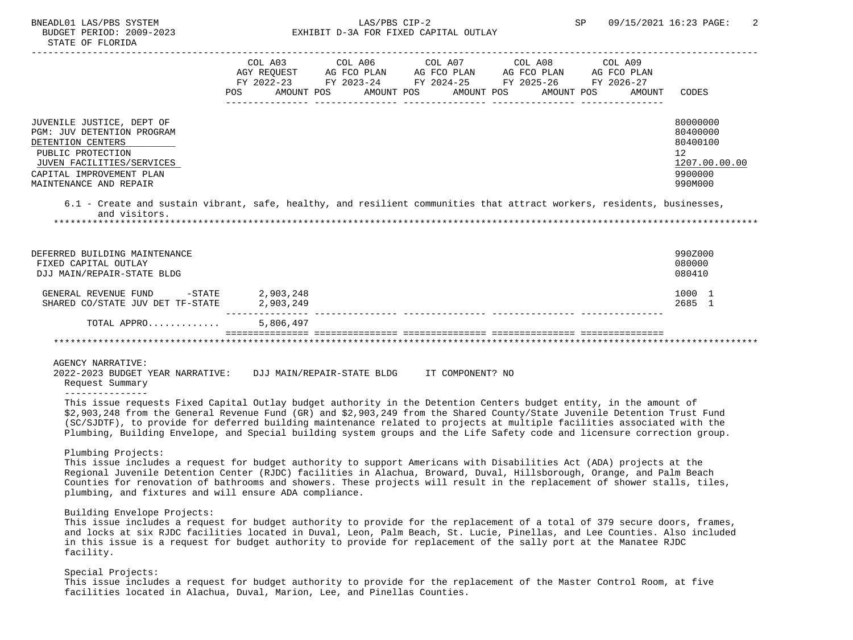# BUDGET PERIOD: 2009-2023 EXHIBIT D-3A FOR FIXED CAPITAL OUTLAY

| JUVENILE JUSTICE, DEPT OF                                                                                                            | POS | COL A03<br>AGY REOUEST<br>FY 2022-23<br>AMOUNT POS | COL A06<br>AG FCO PLAN<br>FY 2023-24<br>AMOUNT POS | COL A07<br>AG FCO PLAN<br>FY 2024-25<br>AMOUNT POS | COL A08<br>AG FCO PLAN<br>FY 2025-26<br>AMOUNT POS | COL A09<br>AG FCO PLAN<br>FY 2026-27<br>AMOUNT | CODES<br>80000000                                      |
|--------------------------------------------------------------------------------------------------------------------------------------|-----|----------------------------------------------------|----------------------------------------------------|----------------------------------------------------|----------------------------------------------------|------------------------------------------------|--------------------------------------------------------|
| <b>PGM: JUV DETENTION PROGRAM</b><br>DETENTION CENTERS<br>PUBLIC PROTECTION<br>JUVEN FACILITIES/SERVICES<br>CAPITAL IMPROVEMENT PLAN |     |                                                    |                                                    |                                                    |                                                    |                                                | 80400000<br>80400100<br>12<br>1207.00.00.00<br>9900000 |
| MAINTENANCE AND REPAIR                                                                                                               |     |                                                    |                                                    |                                                    |                                                    |                                                | 990M000                                                |

 6.1 - Create and sustain vibrant, safe, healthy, and resilient communities that attract workers, residents, businesses, and visitors.

\*\*\*\*\*\*\*\*\*\*\*\*\*\*\*\*\*\*\*\*\*\*\*\*\*\*\*\*\*\*\*\*\*\*\*\*\*\*\*\*\*\*\*\*\*\*\*\*\*\*\*\*\*\*\*\*\*\*\*\*\*\*\*\*\*\*\*\*\*\*\*\*\*\*\*\*\*\*\*\*\*\*\*\*\*\*\*\*\*\*\*\*\*\*\*\*\*\*\*\*\*\*\*\*\*\*\*\*\*\*\*\*\*\*\*\*\*\*\*\*\*\*\*\*\*\*\*

| DEFERRED BUILDING MAINTENANCE<br>FIXED CAPITAL OUTLAY<br>DJJ MAIN/REPAIR-STATE BLDG |                        | 990Z000<br>080000<br>080410 |  |
|-------------------------------------------------------------------------------------|------------------------|-----------------------------|--|
| $-$ STATE<br>GENERAL REVENUE FUND<br>SHARED CO/STATE JUV DET TF-STATE               | 2,903,248<br>2,903,249 | 1000 1<br>2685 1            |  |
| TOTAL APPRO                                                                         | 5,806,497              |                             |  |
|                                                                                     |                        |                             |  |

AGENCY NARRATIVE:

 2022-2023 BUDGET YEAR NARRATIVE: DJJ MAIN/REPAIR-STATE BLDG IT COMPONENT? NO Request Summary

---------------

 This issue requests Fixed Capital Outlay budget authority in the Detention Centers budget entity, in the amount of \$2,903,248 from the General Revenue Fund (GR) and \$2,903,249 from the Shared County/State Juvenile Detention Trust Fund (SC/SJDTF), to provide for deferred building maintenance related to projects at multiple facilities associated with the Plumbing, Building Envelope, and Special building system groups and the Life Safety code and licensure correction group.

#### Plumbing Projects:

 This issue includes a request for budget authority to support Americans with Disabilities Act (ADA) projects at the Regional Juvenile Detention Center (RJDC) facilities in Alachua, Broward, Duval, Hillsborough, Orange, and Palm Beach Counties for renovation of bathrooms and showers. These projects will result in the replacement of shower stalls, tiles, plumbing, and fixtures and will ensure ADA compliance.

### Building Envelope Projects:

 This issue includes a request for budget authority to provide for the replacement of a total of 379 secure doors, frames, and locks at six RJDC facilities located in Duval, Leon, Palm Beach, St. Lucie, Pinellas, and Lee Counties. Also included in this issue is a request for budget authority to provide for replacement of the sally port at the Manatee RJDC facility.

### Special Projects:

 This issue includes a request for budget authority to provide for the replacement of the Master Control Room, at five facilities located in Alachua, Duval, Marion, Lee, and Pinellas Counties.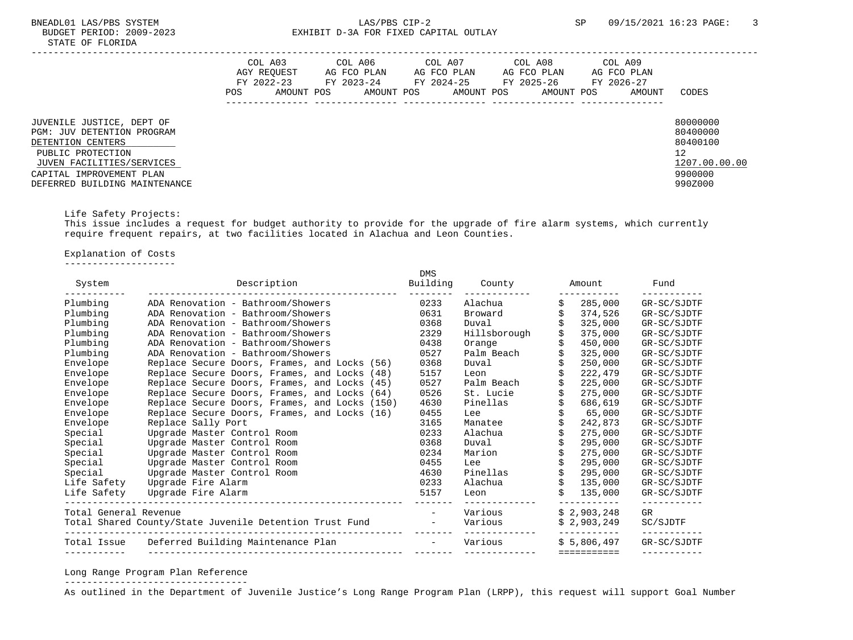|                                                                                                                                                                                                    | COL A03<br>AGY REQUEST<br>FY 2022-23<br>POS. | AMOUNT POS | COL A06<br>AG FCO PLAN<br>FY 2023-24<br>AMOUNT POS | COL A07<br>AG FCO PLAN<br>FY 2024-25<br>AMOUNT POS | COL A08<br>AG FCO PLAN<br>FY 2025-26<br>AMOUNT POS | COL A09<br>AG FCO PLAN<br>FY 2026-27<br>AMOUNT | CODES                                                                         |
|----------------------------------------------------------------------------------------------------------------------------------------------------------------------------------------------------|----------------------------------------------|------------|----------------------------------------------------|----------------------------------------------------|----------------------------------------------------|------------------------------------------------|-------------------------------------------------------------------------------|
| JUVENILE JUSTICE, DEPT OF<br><b>PGM: JUV DETENTION PROGRAM</b><br>DETENTION CENTERS<br>PUBLIC PROTECTION<br>JUVEN FACILITIES/SERVICES<br>CAPITAL IMPROVEMENT PLAN<br>DEFERRED BUILDING MAINTENANCE |                                              |            |                                                    |                                                    |                                                    |                                                | 80000000<br>80400000<br>80400100<br>12<br>1207.00.00.00<br>9900000<br>990Z000 |

# Life Safety Projects:

 This issue includes a request for budget authority to provide for the upgrade of fire alarm systems, which currently require frequent repairs, at two facilities located in Alachua and Leon Counties.

Explanation of Costs

--------------------

| System                | Description                                             | <b>DMS</b> | Building County | Amount        | Fund        |
|-----------------------|---------------------------------------------------------|------------|-----------------|---------------|-------------|
| Plumbing              | ADA Renovation - Bathroom/Showers                       | 0233       | Alachua         | 285,000       | GR-SC/SJDTF |
| Plumbing              | ADA Renovation - Bathroom/Showers                       | 0631       | Broward         | 374,526       | GR-SC/SJDTF |
| Plumbing              | ADA Renovation - Bathroom/Showers                       | 0368       | Duval           | 325,000       | GR-SC/SJDTF |
| Plumbing              | ADA Renovation - Bathroom/Showers                       | 2329       | Hillsborough    | 375,000       | GR-SC/SJDTF |
| Plumbing              | ADA Renovation - Bathroom/Showers                       | 0438       | Orange          | 450,000       | GR-SC/SJDTF |
| Plumbing              | ADA Renovation - Bathroom/Showers                       | 0527       | Palm Beach      | 325,000       | GR-SC/SJDTF |
| Envelope              | Replace Secure Doors, Frames, and Locks (56)            | 0368       | Duval           | 250,000       | GR-SC/SJDTF |
| Envelope              | Replace Secure Doors, Frames, and Locks (48)            | 5157       | Leon            | 222,479       | GR-SC/SJDTF |
| Envelope              | Replace Secure Doors, Frames, and Locks (45)            | 0527       | Palm Beach      | 225,000       | GR-SC/SJDTF |
| Envelope              | Replace Secure Doors, Frames, and Locks (64)            | 0526       | St. Lucie       | 275,000       | GR-SC/SJDTF |
| Envelope              | Replace Secure Doors, Frames, and Locks (150)           | 4630       | Pinellas        | 686,619       | GR-SC/SJDTF |
| Envelope              | Replace Secure Doors, Frames, and Locks (16)            | 0455       | Lee             | 65,000        | GR-SC/SJDTF |
| Envelope              | Replace Sally Port                                      | 3165       | Manatee         | 242,873       | GR-SC/SJDTF |
| Special               | Upgrade Master Control Room                             | 0233       | Alachua         | 275,000       | GR-SC/SJDTF |
| Special               | Upgrade Master Control Room                             | 0368       | Duval           | 295,000       | GR-SC/SJDTF |
| Special               | Upgrade Master Control Room                             | 0234       | Marion          | 275,000       | GR-SC/SJDTF |
| Special               | Upgrade Master Control Room                             | 0455       | Lee             | 295,000       | GR-SC/SJDTF |
| Special               | Upgrade Master Control Room                             | 4630       | Pinellas        | 295,000       | GR-SC/SJDTF |
| Life Safety           | Upgrade Fire Alarm                                      | 0233       | Alachua         | 135,000       | GR-SC/SJDTF |
| Life Safety           | Upgrade Fire Alarm                                      | 5157       | Leon            | Ŝ.<br>135,000 | GR-SC/SJDTF |
| Total General Revenue |                                                         |            | Various         | \$2,903,248   | GR          |
|                       | Total Shared County/State Juvenile Detention Trust Fund |            | Various         | \$2,903,249   | SC/SJDTF    |
|                       | Total Issue Deferred Building Maintenance Plan          |            | Various         | \$5.806.497   | GR-SC/SJDTF |
|                       |                                                         |            |                 | ===========   |             |

#### Long Range Program Plan Reference ---------------------------------

As outlined in the Department of Juvenile Justice's Long Range Program Plan (LRPP), this request will support Goal Number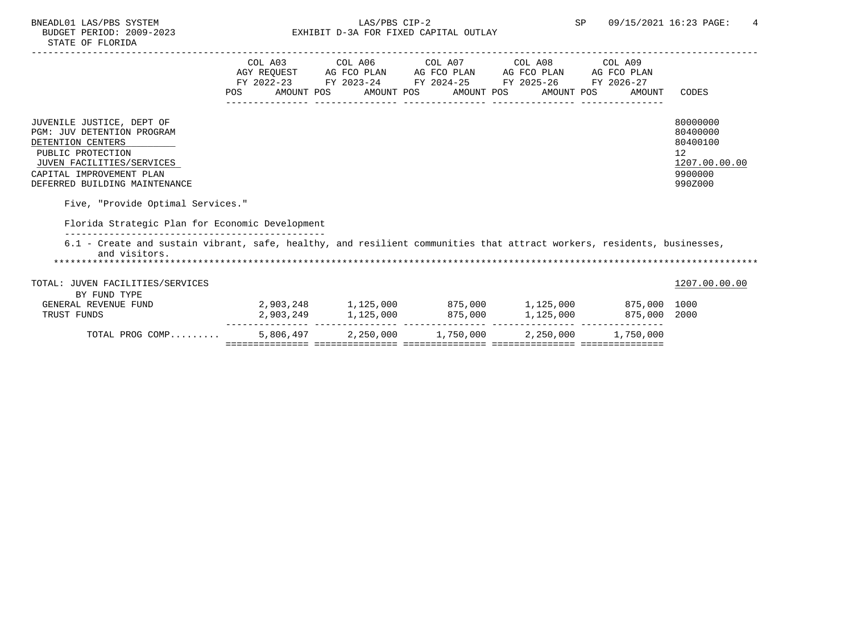|                                                                                                                                                                                                    | COL A03 COL A06 COL A07 COL A08 COL A09<br>AGY REQUEST AG FCO PLAN AG FCO PLAN AG FCO PLAN AG FCO PLAN<br>FY 2022-23 FY 2023-24 FY 2024-25 FY 2025-26 FY 2026-27<br>POS AMOUNT POS AMOUNT POS AMOUNT POS AMOUNT POS AMOUNT |  | CODES                                                                                      |
|----------------------------------------------------------------------------------------------------------------------------------------------------------------------------------------------------|----------------------------------------------------------------------------------------------------------------------------------------------------------------------------------------------------------------------------|--|--------------------------------------------------------------------------------------------|
|                                                                                                                                                                                                    |                                                                                                                                                                                                                            |  |                                                                                            |
| JUVENILE JUSTICE, DEPT OF<br><b>PGM: JUV DETENTION PROGRAM</b><br>DETENTION CENTERS<br>PUBLIC PROTECTION<br>JUVEN FACILITIES/SERVICES<br>CAPITAL IMPROVEMENT PLAN<br>DEFERRED BUILDING MAINTENANCE |                                                                                                                                                                                                                            |  | 80000000<br>80400000<br>80400100<br>12 <sup>°</sup><br>1207.00.00.00<br>9900000<br>990Z000 |
| Five, "Provide Optimal Services."                                                                                                                                                                  |                                                                                                                                                                                                                            |  |                                                                                            |
|                                                                                                                                                                                                    |                                                                                                                                                                                                                            |  |                                                                                            |
| Florida Strategic Plan for Economic Development                                                                                                                                                    |                                                                                                                                                                                                                            |  |                                                                                            |
| 6.1 - Create and sustain vibrant, safe, healthy, and resilient communities that attract workers, residents, businesses,<br>and visitors.                                                           |                                                                                                                                                                                                                            |  |                                                                                            |
| TOTAL: JUVEN FACILITIES/SERVICES                                                                                                                                                                   |                                                                                                                                                                                                                            |  | 1207.00.00.00                                                                              |
| BY FUND TYPE                                                                                                                                                                                       |                                                                                                                                                                                                                            |  |                                                                                            |
| GENERAL REVENUE FUND                                                                                                                                                                               | $2,903,248$ $1,125,000$ $875,000$ $1,125,000$ $875,000$                                                                                                                                                                    |  |                                                                                            |
| TRUST FUNDS                                                                                                                                                                                        | 2,903,249 1,125,000 875,000 1,125,000 875,000 2000                                                                                                                                                                         |  |                                                                                            |
| TOTAL PROG COMP                                                                                                                                                                                    | 5,806,497 2,250,000 1,750,000 2,250,000 1,750,000                                                                                                                                                                          |  |                                                                                            |
|                                                                                                                                                                                                    |                                                                                                                                                                                                                            |  |                                                                                            |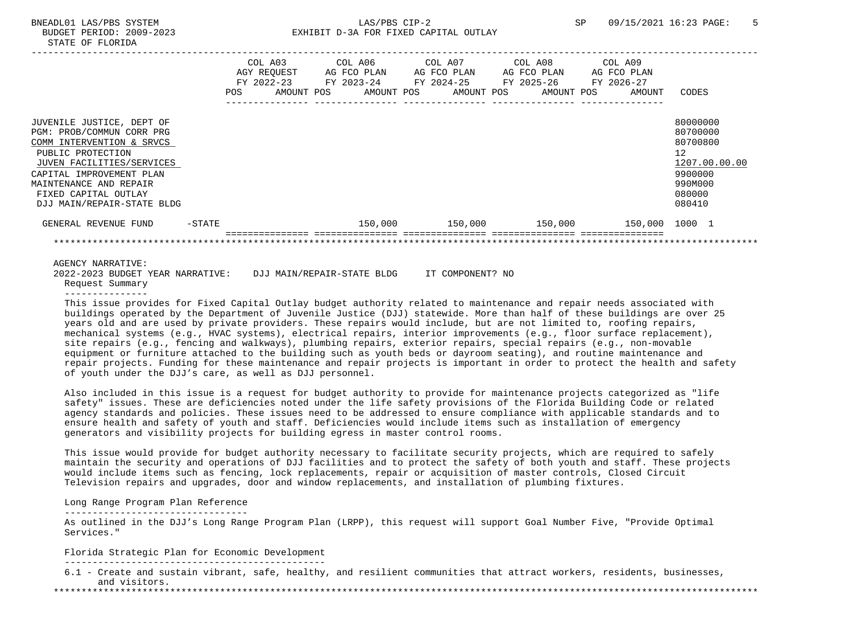# BNEADL01 LAS/PBS SYSTEM LAS/PBS CIP-2 SP 09/15/2021 16:23 PAGE: 5 BUDGET PERIOD: 2009-2023 EXHIBIT D-3A FOR FIXED CAPITAL OUTLAY

|                                                                                                                                                                                                                                                   |        | POS | AGY REOUEST<br>FY 2022-23<br>AMOUNT POS | AG FCO PLAN<br>FY 2023-24 FY 2024-25<br>AMOUNT POS |  | AG FCO PLAN<br>AMOUNT POS | COL A03 COL A06 COL A07 COL A08 COL A09<br>AG FCO PLAN<br>FY 2025-26<br>AMOUNT POS | AG FCO PLAN<br>FY 2026-27<br>AMOUNT | CODES                                                                                             |
|---------------------------------------------------------------------------------------------------------------------------------------------------------------------------------------------------------------------------------------------------|--------|-----|-----------------------------------------|----------------------------------------------------|--|---------------------------|------------------------------------------------------------------------------------|-------------------------------------|---------------------------------------------------------------------------------------------------|
| JUVENILE JUSTICE, DEPT OF<br>PGM: PROB/COMMUN CORR PRG<br>COMM INTERVENTION & SRVCS<br>PUBLIC PROTECTION<br>JUVEN FACILITIES/SERVICES<br>CAPITAL IMPROVEMENT PLAN<br>MAINTENANCE AND REPAIR<br>FIXED CAPITAL OUTLAY<br>DJJ MAIN/REPAIR-STATE BLDG |        |     |                                         |                                                    |  |                           |                                                                                    |                                     | 80000000<br>80700000<br>80700800<br>12<br>1207.00.00.00<br>9900000<br>990M000<br>080000<br>080410 |
| GENERAL REVENUE FUND                                                                                                                                                                                                                              | -STATE |     |                                         | 150,000                                            |  | 150,000                   | 150,000                                                                            | 150,000 1000 1                      |                                                                                                   |
|                                                                                                                                                                                                                                                   |        |     |                                         |                                                    |  |                           |                                                                                    |                                     |                                                                                                   |

AGENCY NARRATIVE:<br>2022-2023 BUDGET YEAR NARRATIVE: 2022-2023 BUDGET YEAR NARRATIVE: DJJ MAIN/REPAIR-STATE BLDG IT COMPONENT? NO Request Summary

---------------

 This issue provides for Fixed Capital Outlay budget authority related to maintenance and repair needs associated with buildings operated by the Department of Juvenile Justice (DJJ) statewide. More than half of these buildings are over 25 years old and are used by private providers. These repairs would include, but are not limited to, roofing repairs, mechanical systems (e.g., HVAC systems), electrical repairs, interior improvements (e.g., floor surface replacement), site repairs (e.g., fencing and walkways), plumbing repairs, exterior repairs, special repairs (e.g., non-movable equipment or furniture attached to the building such as youth beds or dayroom seating), and routine maintenance and repair projects. Funding for these maintenance and repair projects is important in order to protect the health and safety of youth under the DJJ's care, as well as DJJ personnel.

 Also included in this issue is a request for budget authority to provide for maintenance projects categorized as "life safety" issues. These are deficiencies noted under the life safety provisions of the Florida Building Code or related agency standards and policies. These issues need to be addressed to ensure compliance with applicable standards and to ensure health and safety of youth and staff. Deficiencies would include items such as installation of emergency generators and visibility projects for building egress in master control rooms.

 This issue would provide for budget authority necessary to facilitate security projects, which are required to safely maintain the security and operations of DJJ facilities and to protect the safety of both youth and staff. These projects would include items such as fencing, lock replacements, repair or acquisition of master controls, Closed Circuit Television repairs and upgrades, door and window replacements, and installation of plumbing fixtures.

## Long Range Program Plan Reference

---------------------------------

 As outlined in the DJJ's Long Range Program Plan (LRPP), this request will support Goal Number Five, "Provide Optimal Services."

Florida Strategic Plan for Economic Development

-----------------------------------------------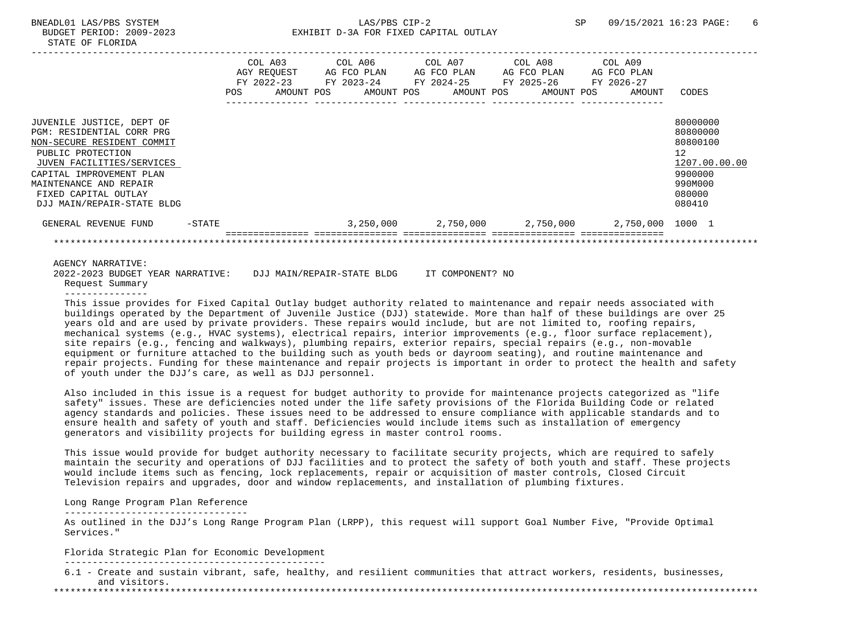# BNEADL01 LAS/PBS SYSTEM 6 6 CDP-2 CDP-2 SP 09/15/2021 16:23 PAGE: 6 BUDGET PERIOD: 2009-2023 EXHIBIT D-3A FOR FIXED CAPITAL OUTLAY

|                                                                                                                                                                                                                                                    |           | POS | AGY REOUEST<br>FY 2022-23 | COL A03 COL A06 COL A07 COL A08 COL A09<br>AG FCO PLAN<br>AMOUNT POS AMOUNT POS AMOUNT POS AMOUNT POS |  | AG FCO PLAN | AG FCO PLAN | AG FCO PLAN<br>AMOUNT                               | CODES                                                                                                           |
|----------------------------------------------------------------------------------------------------------------------------------------------------------------------------------------------------------------------------------------------------|-----------|-----|---------------------------|-------------------------------------------------------------------------------------------------------|--|-------------|-------------|-----------------------------------------------------|-----------------------------------------------------------------------------------------------------------------|
| JUVENILE JUSTICE, DEPT OF<br>PGM: RESIDENTIAL CORR PRG<br>NON-SECURE RESIDENT COMMIT<br>PUBLIC PROTECTION<br>JUVEN FACILITIES/SERVICES<br>CAPITAL IMPROVEMENT PLAN<br>MAINTENANCE AND REPAIR<br>FIXED CAPITAL OUTLAY<br>DJJ MAIN/REPAIR-STATE BLDG |           |     |                           |                                                                                                       |  |             |             |                                                     | 80000000<br>80800000<br>80800100<br>12 <sup>12</sup><br>1207.00.00.00<br>9900000<br>990M000<br>080000<br>080410 |
| GENERAL REVENUE FUND                                                                                                                                                                                                                               | $-$ STATE |     |                           |                                                                                                       |  |             |             | 3,250,000  2,750,000  2,750,000  2,750,000  1000  1 |                                                                                                                 |
|                                                                                                                                                                                                                                                    |           |     |                           |                                                                                                       |  |             |             |                                                     |                                                                                                                 |
| AGENCY NARRATIVE:                                                                                                                                                                                                                                  |           |     |                           |                                                                                                       |  |             |             |                                                     |                                                                                                                 |

 2022-2023 BUDGET YEAR NARRATIVE: DJJ MAIN/REPAIR-STATE BLDG IT COMPONENT? NO Request Summary

---------------

 This issue provides for Fixed Capital Outlay budget authority related to maintenance and repair needs associated with buildings operated by the Department of Juvenile Justice (DJJ) statewide. More than half of these buildings are over 25 years old and are used by private providers. These repairs would include, but are not limited to, roofing repairs, mechanical systems (e.g., HVAC systems), electrical repairs, interior improvements (e.g., floor surface replacement), site repairs (e.g., fencing and walkways), plumbing repairs, exterior repairs, special repairs (e.g., non-movable equipment or furniture attached to the building such as youth beds or dayroom seating), and routine maintenance and repair projects. Funding for these maintenance and repair projects is important in order to protect the health and safety of youth under the DJJ's care, as well as DJJ personnel.

 Also included in this issue is a request for budget authority to provide for maintenance projects categorized as "life safety" issues. These are deficiencies noted under the life safety provisions of the Florida Building Code or related agency standards and policies. These issues need to be addressed to ensure compliance with applicable standards and to ensure health and safety of youth and staff. Deficiencies would include items such as installation of emergency generators and visibility projects for building egress in master control rooms.

 This issue would provide for budget authority necessary to facilitate security projects, which are required to safely maintain the security and operations of DJJ facilities and to protect the safety of both youth and staff. These projects would include items such as fencing, lock replacements, repair or acquisition of master controls, Closed Circuit Television repairs and upgrades, door and window replacements, and installation of plumbing fixtures.

# Long Range Program Plan Reference

---------------------------------

 As outlined in the DJJ's Long Range Program Plan (LRPP), this request will support Goal Number Five, "Provide Optimal Services."

Florida Strategic Plan for Economic Development

-----------------------------------------------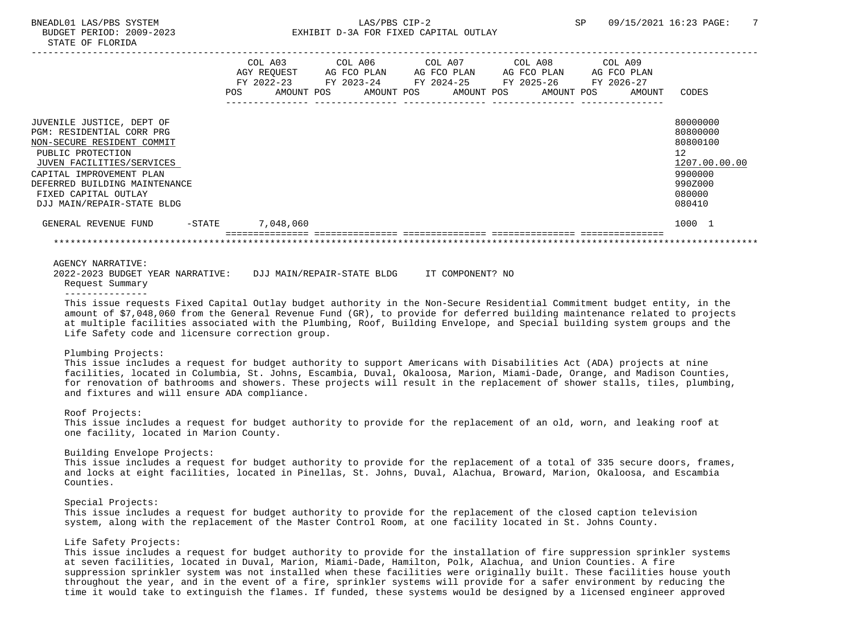|                                                                                                                                                                                                                                                           | COL A03<br>AGY REOUEST<br>$FY$ 2022-23<br>POS | AMOUNT POS | COL A06<br>AG FCO PLAN<br>FY 2023-24<br>AMOUNT POS | COL A07<br>AG FCO PLAN<br>FY 2024-25<br>AMOUNT POS | COL A08<br>AG FCO PLAN<br>FY 2025-26<br>AMOUNT POS | COL A09<br>AG FCO PLAN<br>FY 2026-27<br>AMOUNT | <b>CODES</b>                                                                                      |
|-----------------------------------------------------------------------------------------------------------------------------------------------------------------------------------------------------------------------------------------------------------|-----------------------------------------------|------------|----------------------------------------------------|----------------------------------------------------|----------------------------------------------------|------------------------------------------------|---------------------------------------------------------------------------------------------------|
| JUVENILE JUSTICE, DEPT OF<br>PGM: RESIDENTIAL CORR PRG<br>NON-SECURE RESIDENT COMMIT<br>PUBLIC PROTECTION<br>JUVEN FACILITIES/SERVICES<br>CAPITAL IMPROVEMENT PLAN<br>DEFERRED BUILDING MAINTENANCE<br>FIXED CAPITAL OUTLAY<br>DJJ MAIN/REPAIR-STATE BLDG |                                               |            |                                                    |                                                    |                                                    |                                                | 80000000<br>80800000<br>80800100<br>12<br>1207.00.00.00<br>9900000<br>990Z000<br>080000<br>080410 |
| GENERAL REVENUE FUND<br>$-$ STATE                                                                                                                                                                                                                         | 7,048,060                                     |            |                                                    |                                                    |                                                    |                                                | 1000 1                                                                                            |

AGENCY NARRATIVE:

 2022-2023 BUDGET YEAR NARRATIVE: DJJ MAIN/REPAIR-STATE BLDG IT COMPONENT? NO Request Summary

---------------

 This issue requests Fixed Capital Outlay budget authority in the Non-Secure Residential Commitment budget entity, in the amount of \$7,048,060 from the General Revenue Fund (GR), to provide for deferred building maintenance related to projects at multiple facilities associated with the Plumbing, Roof, Building Envelope, and Special building system groups and the Life Safety code and licensure correction group.

#### Plumbing Projects:

 This issue includes a request for budget authority to support Americans with Disabilities Act (ADA) projects at nine facilities, located in Columbia, St. Johns, Escambia, Duval, Okaloosa, Marion, Miami-Dade, Orange, and Madison Counties, for renovation of bathrooms and showers. These projects will result in the replacement of shower stalls, tiles, plumbing, and fixtures and will ensure ADA compliance.

#### Roof Projects:

 This issue includes a request for budget authority to provide for the replacement of an old, worn, and leaking roof at one facility, located in Marion County.

#### Building Envelope Projects:

 This issue includes a request for budget authority to provide for the replacement of a total of 335 secure doors, frames, and locks at eight facilities, located in Pinellas, St. Johns, Duval, Alachua, Broward, Marion, Okaloosa, and Escambia Counties.

#### Special Projects:

 This issue includes a request for budget authority to provide for the replacement of the closed caption television system, along with the replacement of the Master Control Room, at one facility located in St. Johns County.

## Life Safety Projects:

 This issue includes a request for budget authority to provide for the installation of fire suppression sprinkler systems at seven facilities, located in Duval, Marion, Miami-Dade, Hamilton, Polk, Alachua, and Union Counties. A fire suppression sprinkler system was not installed when these facilities were originally built. These facilities house youth throughout the year, and in the event of a fire, sprinkler systems will provide for a safer environment by reducing the time it would take to extinguish the flames. If funded, these systems would be designed by a licensed engineer approved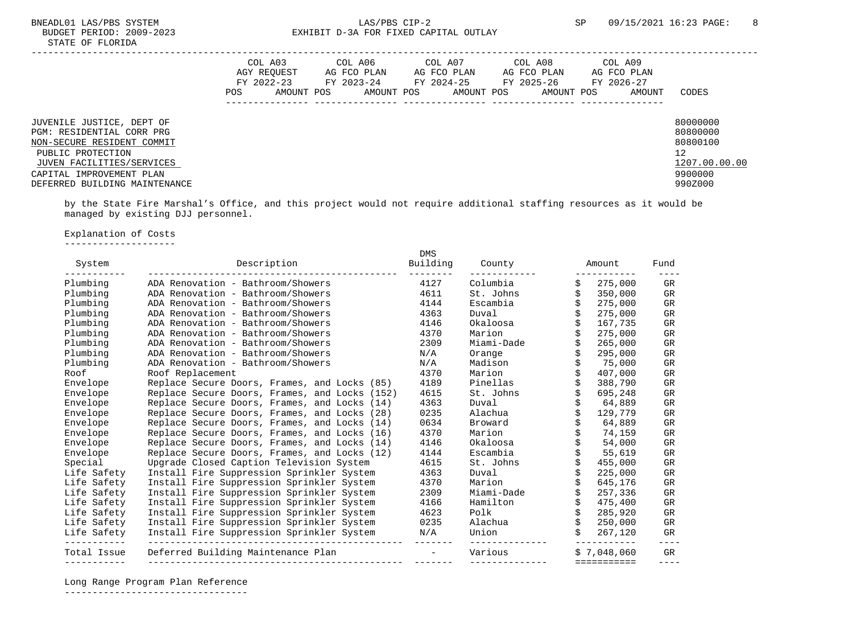|                                                                                                                                                                                                     | POS | COL A03<br>AGY REOUEST<br>FY 2022-23<br>AMOUNT POS | COL A06<br>AG FCO PLAN<br>FY 2023-24<br>AMOUNT POS | COL A07<br>AG FCO PLAN<br>FY 2024-25<br>AMOUNT POS | COL A08<br>AG FCO PLAN<br>FY 2025-26<br>AMOUNT POS | COL A09<br>AG FCO PLAN<br>FY 2026-27<br>AMOUNT | CODES                                                                         |
|-----------------------------------------------------------------------------------------------------------------------------------------------------------------------------------------------------|-----|----------------------------------------------------|----------------------------------------------------|----------------------------------------------------|----------------------------------------------------|------------------------------------------------|-------------------------------------------------------------------------------|
| JUVENILE JUSTICE, DEPT OF<br>PGM: RESIDENTIAL CORR PRG<br>NON-SECURE RESIDENT COMMIT<br>PUBLIC PROTECTION<br>JUVEN FACILITIES/SERVICES<br>CAPITAL IMPROVEMENT PLAN<br>DEFERRED BUILDING MAINTENANCE |     |                                                    |                                                    |                                                    |                                                    |                                                | 80000000<br>80800000<br>80800100<br>12<br>1207.00.00.00<br>9900000<br>990Z000 |

 by the State Fire Marshal's Office, and this project would not require additional staffing resources as it would be managed by existing DJJ personnel.

# Explanation of Costs

--------------------

| System      | Description                                   | DMS<br>Building          | County     | Amount      | Fund            |
|-------------|-----------------------------------------------|--------------------------|------------|-------------|-----------------|
| Plumbing    | ADA Renovation - Bathroom/Showers             | 4127                     | Columbia   | 275,000     | GR              |
| Plumbing    | ADA Renovation - Bathroom/Showers             | 4611                     | St. Johns  | 350,000     | GR              |
| Plumbing    | ADA Renovation - Bathroom/Showers             | 4144                     | Escambia   | 275,000     | GR              |
| Plumbing    | ADA Renovation - Bathroom/Showers             | 4363                     | Duval      | 275,000     | GR              |
| Plumbing    | ADA Renovation - Bathroom/Showers             | 4146                     | Okaloosa   | 167,735     | GR              |
| Plumbing    | ADA Renovation - Bathroom/Showers             | 4370                     | Marion     | 275,000     | GR              |
| Plumbing    | ADA Renovation - Bathroom/Showers             | 2309                     | Miami-Dade | 265,000     | GR              |
| Plumbing    | ADA Renovation - Bathroom/Showers             | N/A                      | Orange     | 295,000     | GR              |
| Plumbing    | ADA Renovation - Bathroom/Showers             | N/A                      | Madison    | 75,000      | GR              |
| Roof        | Roof Replacement                              | 4370                     | Marion     | 407,000     | GR              |
| Envelope    | Replace Secure Doors, Frames, and Locks (85)  | 4189                     | Pinellas   | 388,790     | GR              |
| Envelope    | Replace Secure Doors, Frames, and Locks (152) | 4615                     | St. Johns  | 695,248     | GR              |
| Envelope    | Replace Secure Doors, Frames, and Locks (14)  | 4363                     | Duval      | 64,889      | GR              |
| Envelope    | Replace Secure Doors, Frames, and Locks (28)  | 0235                     | Alachua    | 129,779     | GR              |
| Envelope    | Replace Secure Doors, Frames, and Locks (14)  | 0634                     | Broward    | 64,889      | GR              |
| Envelope    | Replace Secure Doors, Frames, and Locks (16)  | 4370                     | Marion     | 74,159      | GR              |
| Envelope    | Replace Secure Doors, Frames, and Locks (14)  | 4146                     | Okaloosa   | 54,000      | GR              |
| Envelope    | Replace Secure Doors, Frames, and Locks (12)  | 4144                     | Escambia   | 55,619      | GR              |
| Special     | Upgrade Closed Caption Television System      | 4615                     | St. Johns  | 455,000     | GR              |
| Life Safety | Install Fire Suppression Sprinkler System     | 4363                     | Duval      | 225,000     | GR              |
| Life Safety | Install Fire Suppression Sprinkler System     | 4370                     | Marion     | 645,176     | GR              |
| Life Safety | Install Fire Suppression Sprinkler System     | 2309                     | Miami-Dade | 257,336     | GR              |
| Life Safety | Install Fire Suppression Sprinkler System     | 4166                     | Hamilton   | 475,400     | GR              |
| Life Safety | Install Fire Suppression Sprinkler System     | 4623                     | Polk       | 285,920     | GR              |
| Life Safety | Install Fire Suppression Sprinkler System     | 0235                     | Alachua    | 250,000     | GR              |
| Life Safety | Install Fire Suppression Sprinkler System     | N/A                      | Union      | 267,120     | GR<br>$- - - -$ |
| Total Issue | Deferred Building Maintenance Plan            | $\overline{\phantom{a}}$ | Various    | \$7.048.060 | GR              |
|             |                                               |                          |            | =========== |                 |

Long Range Program Plan Reference

---------------------------------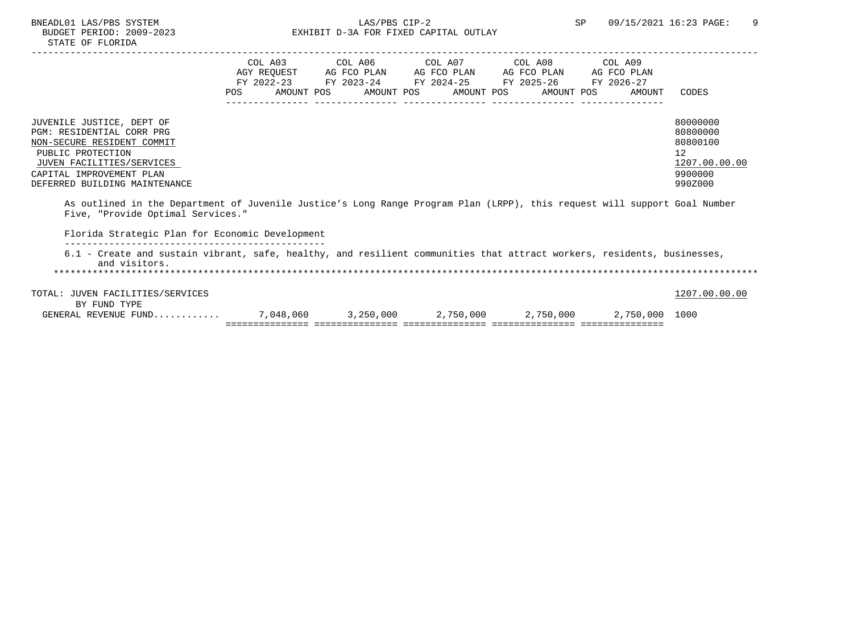|                                                                                                                                                                                                     | POS | AMOUNT POS | AMOUNT POS       | AMOUNT POS | COL A03 COL A06 COL A07 COL A08 COL A09<br>AGY REOUEST AG FCO PLAN AG FCO PLAN AG FCO PLAN AG FCO PLAN<br>FY 2022-23 FY 2023-24 FY 2024-25 FY 2025-26 FY 2026-27<br>AMOUNT POS | AMOUNT         | CODES                                                                                      |
|-----------------------------------------------------------------------------------------------------------------------------------------------------------------------------------------------------|-----|------------|------------------|------------|--------------------------------------------------------------------------------------------------------------------------------------------------------------------------------|----------------|--------------------------------------------------------------------------------------------|
| JUVENILE JUSTICE, DEPT OF<br>PGM: RESIDENTIAL CORR PRG<br>NON-SECURE RESIDENT COMMIT<br>PUBLIC PROTECTION<br>JUVEN FACILITIES/SERVICES<br>CAPITAL IMPROVEMENT PLAN<br>DEFERRED BUILDING MAINTENANCE |     |            |                  |            |                                                                                                                                                                                |                | 80000000<br>80800000<br>80800100<br>12 <sup>°</sup><br>1207.00.00.00<br>9900000<br>990Z000 |
| As outlined in the Department of Juvenile Justice's Long Range Program Plan (LRPP), this request will support Goal Number<br>Five, "Provide Optimal Services."                                      |     |            |                  |            |                                                                                                                                                                                |                |                                                                                            |
| Florida Strategic Plan for Economic Development<br>6.1 - Create and sustain vibrant, safe, healthy, and resilient communities that attract workers, residents, businesses,<br>and visitors.         |     |            |                  |            |                                                                                                                                                                                |                |                                                                                            |
| TOTAL: JUVEN FACILITIES/SERVICES<br>BY FUND TYPE<br>CENERAL REVENILE FIND                                                                                                                           |     | 7 048 060  | $\sim$ 3 250 000 | 2.750.000  | 2 750 000                                                                                                                                                                      | 2 750 000 1000 | 1207.00.00.00                                                                              |

 GENERAL REVENUE FUND............ 7,048,060 3,250,000 2,750,000 2,750,000 2,750,000 1000 =============== =============== =============== =============== ===============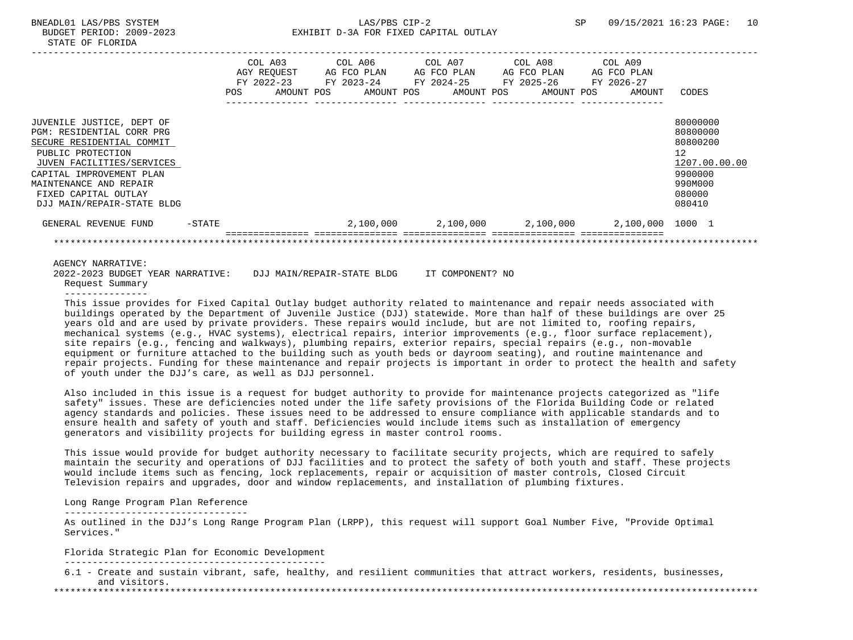# BNEADL01 LAS/PBS SYSTEM  $LAS/PBS$  CIP-2 SP 09/15/2021 16:23 PAGE: 10 BUDGET PERIOD: 2009-2023 EXHIBIT D-3A FOR FIXED CAPITAL OUTLAY

|                                                                                                                                                                                                                                                   |        | POS | COL A03<br>AGY REQUEST<br>FY 2022-23<br>AMOUNT POS | COL A06<br>AG FCO PLAN<br>FY 2023-24<br>AMOUNT POS | COL A07<br>AG FCO PLAN<br>FY 2024-25<br>AMOUNT POS | COL A08<br>AG FCO PLAN<br>FY 2025-26<br>AMOUNT POS | COL A09<br>AG FCO PLAN<br>FY 2026-27<br>AMOUNT | CODES                                                                                             |
|---------------------------------------------------------------------------------------------------------------------------------------------------------------------------------------------------------------------------------------------------|--------|-----|----------------------------------------------------|----------------------------------------------------|----------------------------------------------------|----------------------------------------------------|------------------------------------------------|---------------------------------------------------------------------------------------------------|
|                                                                                                                                                                                                                                                   |        |     |                                                    |                                                    |                                                    |                                                    |                                                |                                                                                                   |
| JUVENILE JUSTICE, DEPT OF<br>PGM: RESIDENTIAL CORR PRG<br>SECURE RESIDENTIAL COMMIT<br>PUBLIC PROTECTION<br>JUVEN FACILITIES/SERVICES<br>CAPITAL IMPROVEMENT PLAN<br>MAINTENANCE AND REPAIR<br>FIXED CAPITAL OUTLAY<br>DJJ MAIN/REPAIR-STATE BLDG |        |     |                                                    |                                                    |                                                    |                                                    |                                                | 80000000<br>80800000<br>80800200<br>12<br>1207.00.00.00<br>9900000<br>990M000<br>080000<br>080410 |
| GENERAL REVENUE FUND                                                                                                                                                                                                                              | -STATE |     |                                                    |                                                    | $2,100,000$ $2,100,000$ $2,100,000$                |                                                    | 2,100,000 1000 1                               |                                                                                                   |
|                                                                                                                                                                                                                                                   |        |     |                                                    |                                                    |                                                    |                                                    |                                                |                                                                                                   |
| <b>AGENCY NARRATIVE:</b>                                                                                                                                                                                                                          |        |     |                                                    |                                                    |                                                    |                                                    |                                                |                                                                                                   |

 2022-2023 BUDGET YEAR NARRATIVE: DJJ MAIN/REPAIR-STATE BLDG IT COMPONENT? NO Request Summary

---------------

 This issue provides for Fixed Capital Outlay budget authority related to maintenance and repair needs associated with buildings operated by the Department of Juvenile Justice (DJJ) statewide. More than half of these buildings are over 25 years old and are used by private providers. These repairs would include, but are not limited to, roofing repairs, mechanical systems (e.g., HVAC systems), electrical repairs, interior improvements (e.g., floor surface replacement), site repairs (e.g., fencing and walkways), plumbing repairs, exterior repairs, special repairs (e.g., non-movable equipment or furniture attached to the building such as youth beds or dayroom seating), and routine maintenance and repair projects. Funding for these maintenance and repair projects is important in order to protect the health and safety of youth under the DJJ's care, as well as DJJ personnel.

 Also included in this issue is a request for budget authority to provide for maintenance projects categorized as "life safety" issues. These are deficiencies noted under the life safety provisions of the Florida Building Code or related agency standards and policies. These issues need to be addressed to ensure compliance with applicable standards and to ensure health and safety of youth and staff. Deficiencies would include items such as installation of emergency generators and visibility projects for building egress in master control rooms.

 This issue would provide for budget authority necessary to facilitate security projects, which are required to safely maintain the security and operations of DJJ facilities and to protect the safety of both youth and staff. These projects would include items such as fencing, lock replacements, repair or acquisition of master controls, Closed Circuit Television repairs and upgrades, door and window replacements, and installation of plumbing fixtures.

## Long Range Program Plan Reference

---------------------------------

 As outlined in the DJJ's Long Range Program Plan (LRPP), this request will support Goal Number Five, "Provide Optimal Services."

Florida Strategic Plan for Economic Development

-----------------------------------------------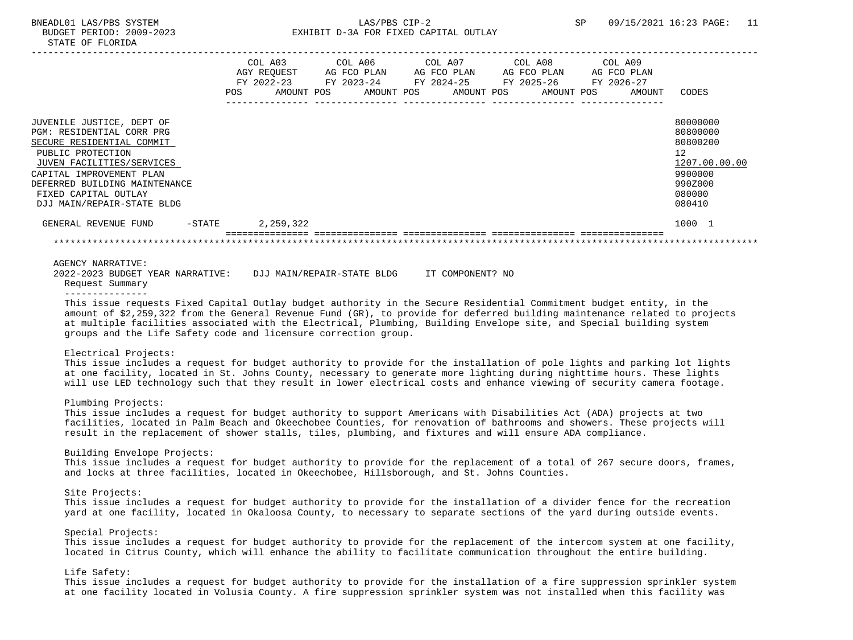|                                                                                                                                                                                                                                                          | $FY$ 2022-23<br>POS. | COL A03<br>AGY REOUEST<br>AMOUNT POS | COL A06<br>AG FCO PLAN<br>FY 2023-24<br>AMOUNT POS | FY 2024-25 | COL A07<br>AG FCO PLAN<br>AMOUNT POS | COL A08<br>AG FCO PLAN<br>FY 2025-26<br>AMOUNT POS | COL A09<br>AG FCO PLAN<br>FY 2026-27<br>AMOUNT | CODES                                                                                             |
|----------------------------------------------------------------------------------------------------------------------------------------------------------------------------------------------------------------------------------------------------------|----------------------|--------------------------------------|----------------------------------------------------|------------|--------------------------------------|----------------------------------------------------|------------------------------------------------|---------------------------------------------------------------------------------------------------|
| JUVENILE JUSTICE, DEPT OF<br>PGM: RESIDENTIAL CORR PRG<br>SECURE RESIDENTIAL COMMIT<br>PUBLIC PROTECTION<br>JUVEN FACILITIES/SERVICES<br>CAPITAL IMPROVEMENT PLAN<br>DEFERRED BUILDING MAINTENANCE<br>FIXED CAPITAL OUTLAY<br>DJJ MAIN/REPAIR-STATE BLDG |                      |                                      |                                                    |            |                                      |                                                    |                                                | 80000000<br>80800000<br>80800200<br>12<br>1207.00.00.00<br>9900000<br>990Z000<br>080000<br>080410 |
| GENERAL REVENUE FUND<br>-STATE                                                                                                                                                                                                                           |                      | 2,259,322                            |                                                    |            |                                      |                                                    |                                                | 1000 1                                                                                            |

AGENCY NARRATIVE:

 2022-2023 BUDGET YEAR NARRATIVE: DJJ MAIN/REPAIR-STATE BLDG IT COMPONENT? NO Request Summary

---------------

 This issue requests Fixed Capital Outlay budget authority in the Secure Residential Commitment budget entity, in the amount of \$2,259,322 from the General Revenue Fund (GR), to provide for deferred building maintenance related to projects at multiple facilities associated with the Electrical, Plumbing, Building Envelope site, and Special building system groups and the Life Safety code and licensure correction group.

## Electrical Projects:

 This issue includes a request for budget authority to provide for the installation of pole lights and parking lot lights at one facility, located in St. Johns County, necessary to generate more lighting during nighttime hours. These lights will use LED technology such that they result in lower electrical costs and enhance viewing of security camera footage.

# Plumbing Projects:

 This issue includes a request for budget authority to support Americans with Disabilities Act (ADA) projects at two facilities, located in Palm Beach and Okeechobee Counties, for renovation of bathrooms and showers. These projects will result in the replacement of shower stalls, tiles, plumbing, and fixtures and will ensure ADA compliance.

#### Building Envelope Projects:

 This issue includes a request for budget authority to provide for the replacement of a total of 267 secure doors, frames, and locks at three facilities, located in Okeechobee, Hillsborough, and St. Johns Counties.

### Site Projects:

 This issue includes a request for budget authority to provide for the installation of a divider fence for the recreation yard at one facility, located in Okaloosa County, to necessary to separate sections of the yard during outside events.

## Special Projects:

 This issue includes a request for budget authority to provide for the replacement of the intercom system at one facility, located in Citrus County, which will enhance the ability to facilitate communication throughout the entire building.

## Life Safety:

 This issue includes a request for budget authority to provide for the installation of a fire suppression sprinkler system at one facility located in Volusia County. A fire suppression sprinkler system was not installed when this facility was